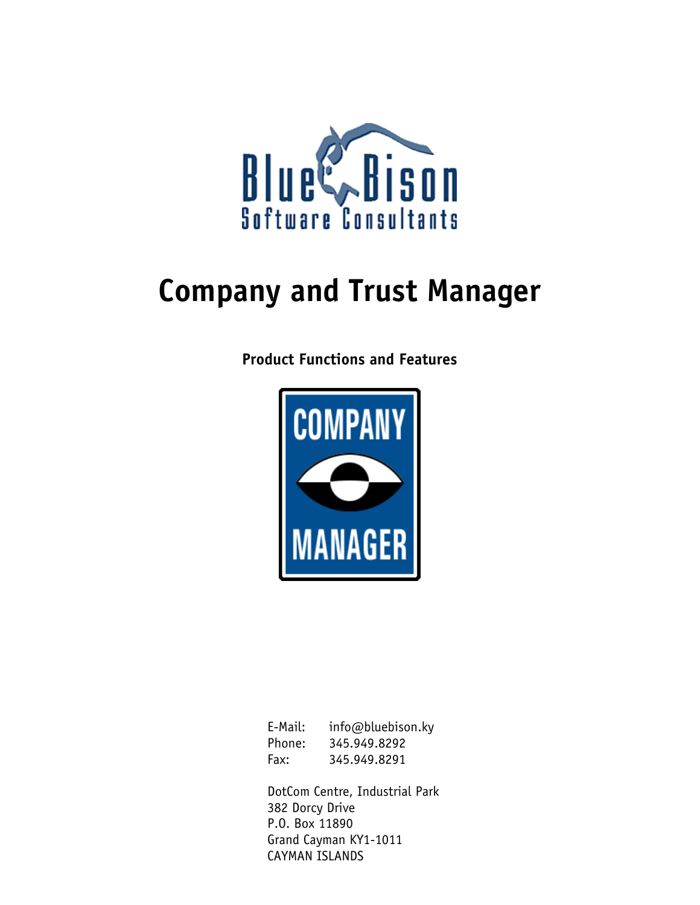

# **Company and Trust Manager**

**Product Functions and Features** 



| E-Mail: | info@bluebison.ky |
|---------|-------------------|
| Phone:  | 345.949.8292      |
| Fax:    | 345.949.8291      |

DotCom Centre, Industrial Park 382 Dorcy Drive P.O. Box 11890 Grand Cayman KY1-1011 CAYMAN ISLANDS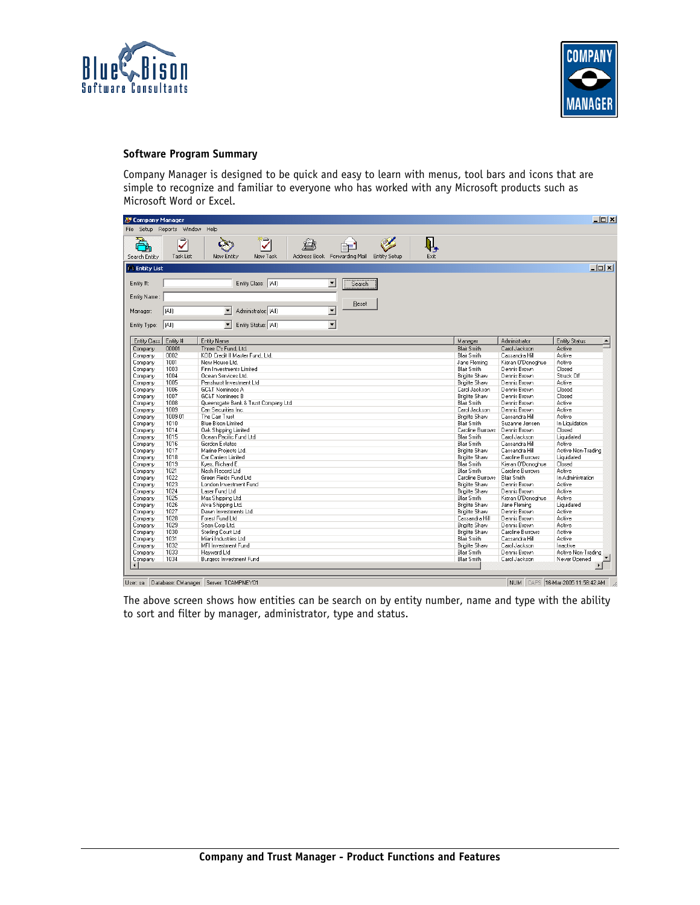



#### **Software Program Summary**

Company Manager is designed to be quick and easy to learn with menus, tool bars and icons that are simple to recognize and familiar to everyone who has worked with any Microsoft products such as Microsoft Word or Excel.

| File                 | Setup Reports Window | Help                                                                                  |                      |                    |                                    |
|----------------------|----------------------|---------------------------------------------------------------------------------------|----------------------|--------------------|------------------------------------|
| P                    | ₹                    | Ѷ<br>Ŋ,<br>魯<br>ÈE                                                                    |                      |                    |                                    |
| Search Entity        | Task List            | Address Book Forwarding Mail<br>New Entity<br>New Task<br>Exit<br><b>Entity Setup</b> |                      |                    |                                    |
| <b>A</b> Entity List |                      |                                                                                       |                      |                    | $\Box$ D $ \times $                |
| Entity #:            |                      | Entity Class: [All]<br>$\blacktriangledown$<br>Search                                 |                      |                    |                                    |
| Entity Name:         |                      |                                                                                       |                      |                    |                                    |
| Manager:             | [(All)               | Reset<br>Administrator: [All]<br>$\overline{\phantom{a}}$<br>$\blacktriangledown$     |                      |                    |                                    |
| Entity Type:         | (A )                 | $\overline{\phantom{0}}$<br>$\overline{\phantom{a}}$<br>Entity Status: (All)          |                      |                    |                                    |
| Entity Class         | Entity #             | Entity Name                                                                           | Manager              | Administrator      | Entity Status                      |
| Company              | 00001                | Three C's Fund, Ltd.                                                                  | <b>Blair Smith</b>   | Carol Jackson      | $\overline{\phantom{0}}$<br>Active |
| Company              | 0002                 | KOD Credit II Master Fund. Ltd.                                                       | <b>Blair Smith</b>   | Cassandra Hill     | Active                             |
| Company              | 1001                 | New House Ltd.                                                                        | Jane Fleming         | Kieran O'Donoghue  | Active                             |
| Company              | 1003                 | Finn Investments Limited                                                              | <b>Blair Smith</b>   | Dennis Brown       | Closed                             |
| Company              | 1004                 | Ocean Services Ltd.                                                                   | <b>Brigitte Shaw</b> | Dennis Brown       | Struck Off                         |
| Company              | 1005                 | Penshurst Investment Ltd                                                              | <b>Brigitte Shaw</b> | Dennis Brown       | Active                             |
| Company              | 1006                 | <b>GC&amp;T Nominees A</b>                                                            | Carol Jackson        | Dennis Brown       | Closed                             |
| Company              | 1007                 | <b>GC&amp;T Nominees B</b>                                                            | <b>Brigitte Shaw</b> | Dennis Brown       | Closed                             |
| Company              | 1008                 | Queensgate Bank & Trust Company Ltd.                                                  | <b>Blair Smith</b>   | Dennis Brown       | Active                             |
| Company              | 1009                 | Carr Securities Inc.                                                                  | Carol Jackson        | Dennis Brown       | Active                             |
| Company              | 1009-01              | The Carr Trust                                                                        | <b>Brigitte Shaw</b> | Cassandra Hill     | Active                             |
| Company              | 1010                 | <b>Blue Bison Limited</b>                                                             | <b>Blair Smith</b>   | Suzanne Jensen     | In Liquidation                     |
| Company              | 1014                 | <b>Oak Shipping Limited</b>                                                           | Caroline Burrows     | Dennis Brown       | Closed                             |
| Company              | 1015                 | Ocean Pacific Fund Ltd.                                                               | <b>Blair Smith</b>   | Carol Jackson      | Liquidated                         |
| Company              | 1016                 | Gordon Estates                                                                        | <b>Blair Smith</b>   | Cassandra Hill     | Active                             |
| Company              | 1017                 | Marine Projects Ltd.                                                                  | <b>Brigitte Shaw</b> | Cassandra Hill     | Active Non-Trading                 |
| Company              | 1018                 | Car Carriers Limited                                                                  | <b>Brigitte Shaw</b> | Caroline Burrows   | Liquidated                         |
| Company              | 1019                 | Kyes, Richard E.                                                                      | Blair Smith          | Kieran O'Donoghue  | Closed                             |
| Company              | 1021                 | Nash Record Ltd                                                                       | <b>Blair Smith</b>   | Caroline Burrows   | Active                             |
| Company              | 1022                 | Green Fields Fund Ltd                                                                 | Caroline Burrows     | <b>Blair Smith</b> | In Administration                  |
| Company              | 1023                 | London Investment Fund                                                                | <b>Brigitte Shaw</b> | Dennis Brown       | Active                             |
| Company              | 1024                 | Laser Fund Ltd                                                                        | <b>Brigitte Shaw</b> | Dennis Brown       | Active                             |
| Company              | 1025                 | Max Shipping Ltd.                                                                     | Blair Smith          | Kieran O'Donoghue  | Active                             |
| Company              | 1026                 | Alva Shipping Ltd.                                                                    | Brigitte Shaw        | Jane Fleming       | Liquidated                         |
| Company              | 1027                 | Dawn Investments Ltd.                                                                 | <b>Brigitte Shaw</b> | Dennis Brown       | Active                             |
| Company              | 1028                 | Forest Fund Ltd                                                                       | Cassandra Hill       | Dennis Brown       | Active                             |
| Company              | 1029                 | Sean Corp Ltd.                                                                        | Brigitte Shaw        | Dennis Brown       | Active                             |
| Company              | 1030                 | Sterling Court Ltd                                                                    | <b>Brigitte Shaw</b> | Caroline Burrows   | Active                             |
| Company              | 1031                 | Miani Industries Ltd                                                                  | <b>Blair Smith</b>   | Cassandra Hill     | Active                             |
| Company              | 1032                 | MFI Investment Fund                                                                   | <b>Brigitte Shaw</b> | Carol Jackson      | Inactive                           |
| Company              | 1033                 | Havward Ltd                                                                           | <b>Blair Smith</b>   | Dennis Brown       | Active Non-Trading                 |
| Company              | 1034                 | <b>Burgess Investment Fund</b>                                                        | <b>Blair Smith</b>   | Carol Jackson      | Never Opened                       |

User: sa Database: CManager Server: TCAMPNEY01

NUM CAPS 16-Mar-2005 11:58:42 AM 2

The above screen shows how entities can be search on by entity number, name and type with the ability to sort and filter by manager, administrator, type and status.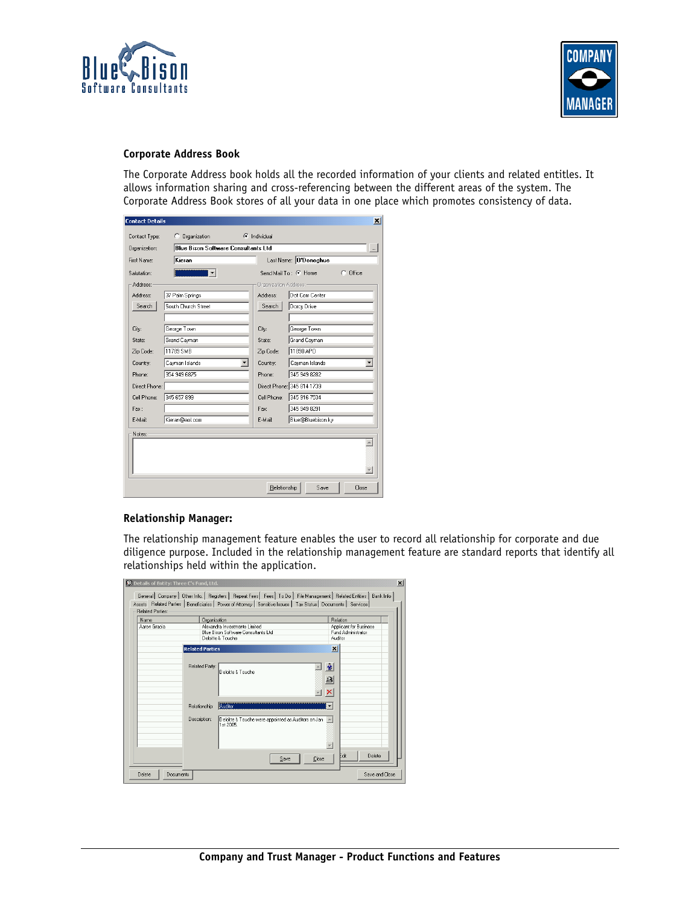



#### **Corporate Address Book**

The Corporate Address book holds all the recorded information of your clients and related entitles. It allows information sharing and cross-referencing between the different areas of the system. The Corporate Address Book stores of all your data in one place which promotes consistency of data.

| <b>Contact Details</b> |                                            |                              | x                                  |
|------------------------|--------------------------------------------|------------------------------|------------------------------------|
| Contact Type:          | Organization<br>O.                         | $\subseteq$ Individual       |                                    |
| Organization:          | <b>Blue Bison Software Consultants Ltd</b> |                              |                                    |
| First Name:            | Kieran                                     |                              | Last Name: 0'Donoghue              |
| Salutation:            |                                            |                              | $C$ Office<br>Send Mail To: C Home |
| Address:               |                                            | <b>Organization Address:</b> |                                    |
| Address:               | 37 Palm Springs                            | Address:                     | Dot Com Center                     |
| Search                 | South Church Street                        | Search                       | Dorcy Drive                        |
|                        |                                            |                              |                                    |
| City:                  | George Town                                | City:                        | George Town                        |
| State:                 | Grand Cayman                               | State:                       | Grand Cayman                       |
| Zip Code:              | 11789 SMB                                  | Zip Code:                    | 11890 APO                          |
| Country:               | Cayman Islands                             | Country:                     | Cayman Islands                     |
| Phone:                 | 354 949 6875                               | Phone:                       | 345 949 8282                       |
| Direct Phone:          |                                            |                              | Direct Phone: 345 814 1739         |
| Cell Phone:            | 345 657 899                                | Cell Phone:                  | 345 916 7534                       |
| Fax:                   |                                            | Fax:                         | 345 949 8291                       |
| E-Mail:                | Kieran@aol.com                             | E-Mail:                      | Blue@Bluebison.kv                  |
| Notes:                 |                                            |                              |                                    |
|                        |                                            |                              |                                    |
|                        |                                            |                              |                                    |
|                        |                                            |                              |                                    |
|                        |                                            |                              |                                    |
|                        |                                            | Relationship                 | Save<br>Close                      |

#### **Relationship Manager:**

The relationship management feature enables the user to record all relationship for corporate and due diligence purpose. Included in the relationship management feature are standard reports that identify all relationships held within the application.

| Aaron Gracia |                        | Organization                                                                 | Relation                                     |
|--------------|------------------------|------------------------------------------------------------------------------|----------------------------------------------|
|              |                        | Alexandra Investments Limited<br><b>Blue Bison Software Consultants Ltd.</b> | Applicant for Business<br>Fund Administrator |
|              | Deloitte & Touche      |                                                                              | Auditor                                      |
|              | <b>Related Parties</b> |                                                                              | $\vert x \vert$                              |
|              |                        |                                                                              |                                              |
|              |                        |                                                                              |                                              |
|              | Related Party:         | Deloitte & Touche                                                            | 童                                            |
|              |                        |                                                                              | 鱼                                            |
|              |                        |                                                                              |                                              |
|              |                        |                                                                              | ×                                            |
|              | Relationship:          | Auditor                                                                      |                                              |
|              |                        |                                                                              |                                              |
|              | Description:           | Deloitte & Touche were appointed as Auditors on Jan A                        |                                              |
|              |                        | 1st 2005.                                                                    |                                              |
|              |                        |                                                                              |                                              |
|              |                        |                                                                              |                                              |
|              |                        |                                                                              |                                              |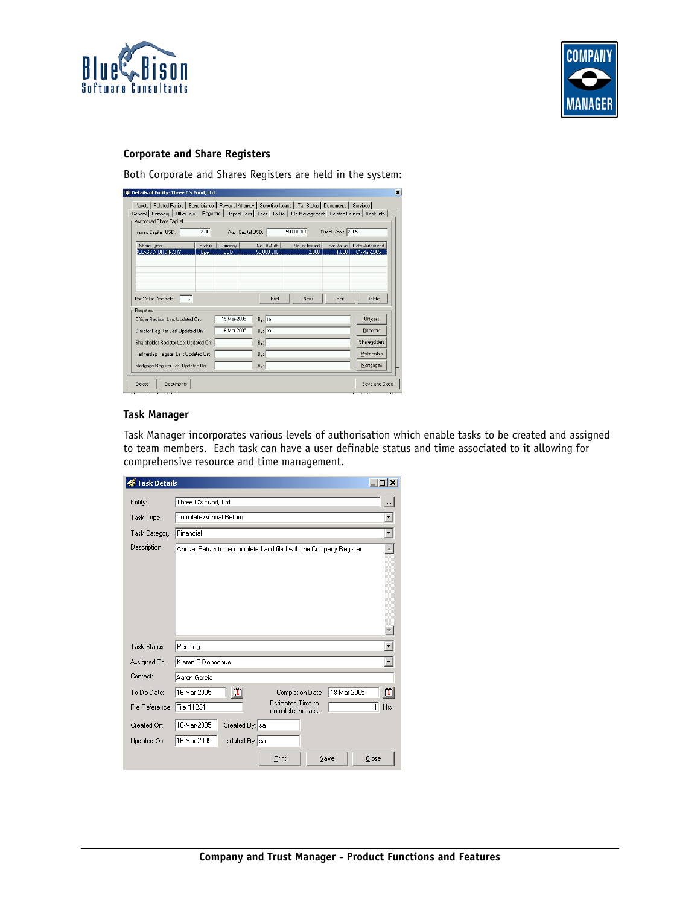



# **Corporate and Share Registers**

Both Corporate and Shares Registers are held in the system:

| <sup>99</sup> Details of Entity: Three C's Fund, Ltd.                                                                                                                                                                                                                        |                              |                               |                          |                        |                    |                                |
|------------------------------------------------------------------------------------------------------------------------------------------------------------------------------------------------------------------------------------------------------------------------------|------------------------------|-------------------------------|--------------------------|------------------------|--------------------|--------------------------------|
| Assets   Related Parties   Beneficiaries   Power of Attorney   Sensitive Issues   Tax Status   Documents   Services  <br>General Company   Other Info. Registers   Repeat Fees   Fees   To Do   File Management   Related Entities   Bank Info  <br>Authorised Share Capital |                              |                               |                          |                        |                    |                                |
| <b>Issued Capital USD:</b>                                                                                                                                                                                                                                                   | 2.00                         |                               | Auth Capital USD:        | 50,000.00              | Fiscal Year: 2005  |                                |
| Share Type<br>CLASS A ORDINARY                                                                                                                                                                                                                                               | <b>Status</b><br><b>Open</b> | <b>Currency</b><br><b>USD</b> | No Of Auth<br>50,000,000 | No. of Issued<br>2.000 | Par Value<br>1.000 | Date Authorized<br>01-Mar-2005 |
|                                                                                                                                                                                                                                                                              |                              |                               |                          |                        |                    |                                |
| $\overline{c}$<br>Par Value Decimals:                                                                                                                                                                                                                                        |                              |                               | Print                    | New                    | Edit               | Delete                         |
| Registers<br>Officer Register Last Updated On:                                                                                                                                                                                                                               |                              | 15-Mar-2005                   | By: sa                   |                        |                    | <b>Officers</b>                |
| Director Register Last Updated On:                                                                                                                                                                                                                                           |                              | 16-Mar-2005                   | By: sa                   |                        |                    | <b>Directors</b>               |
| Shareholder Register Last Updated On:                                                                                                                                                                                                                                        |                              |                               | By:                      |                        |                    | Shareholders                   |
| Partnership Register Last Updated On:                                                                                                                                                                                                                                        |                              |                               | By:                      |                        |                    | Partnership                    |
| Mortgage Register Last Updated On:                                                                                                                                                                                                                                           |                              |                               | By:                      |                        |                    | Mortgages                      |
| Delete<br>Documents                                                                                                                                                                                                                                                          |                              |                               |                          |                        |                    | Save and Close                 |

## **Task Manager**

Task Manager incorporates various levels of authorisation which enable tasks to be created and assigned to team members. Each task can have a user definable status and time associated to it allowing for comprehensive resource and time management.

| <b>Task Details</b>        |                                                                    | ⊡lx                 |
|----------------------------|--------------------------------------------------------------------|---------------------|
| Entity:                    | Three C's Fund, Ltd.                                               | $\cdots$            |
| Task Type:                 | Complete Annual Return                                             | ▼                   |
| Task Category:             | Financial                                                          | ▾╎                  |
| Description:               | Annual Return to be completed and filed with the Company Register. | A.                  |
|                            |                                                                    |                     |
| Task Status:               | Pending                                                            |                     |
| Assigned To:               | Kieran O'Donoghue                                                  | ▾╎                  |
| Contact:                   | Aaron Garcia                                                       |                     |
| To Do Date:                | យិ<br>16-Mar-2005<br>18-Mar-2005<br>Completion Date:               | 面                   |
| File Reference: File #1234 | Estimated Time to<br>complete the task:                            | $\mathbf{1}$<br>Hrs |
| Created On:                | 16-Mar-2005<br>Created By: sa                                      |                     |
| Updated On:                | 16-Mar-2005<br>Updated By: sa                                      |                     |
|                            | Print<br>Save                                                      | Close               |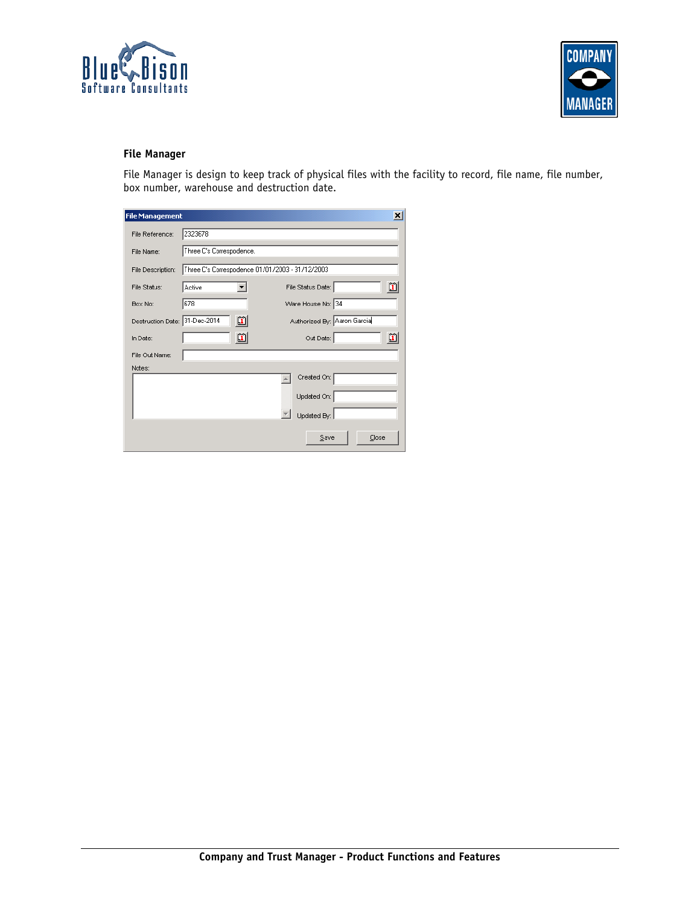



# **File Manager**

File Manager is design to keep track of physical files with the facility to record, file name, file number, box number, warehouse and destruction date.

| <b>File Management</b>        |                          |                                                 | ×            |
|-------------------------------|--------------------------|-------------------------------------------------|--------------|
| File Reference:               | 2323678                  |                                                 |              |
| File Name:                    | Three C's Correspodence. |                                                 |              |
| File Description:             |                          | Three C's Correspodence 01/01/2003 - 31/12/2003 |              |
| File Status:                  | Active                   | File Status Date:                               | $\mathbf{u}$ |
| Box No:                       | 678                      | Ware House No: 34                               |              |
| Destruction Date: 31-Dec-2014 | 凹                        | Authorized By: Aaron Garcia                     |              |
| In Date:                      | 面                        | Out Date:                                       | 面            |
| File Out Name:                |                          |                                                 |              |
| Notes:                        |                          |                                                 |              |
|                               |                          | Created On:                                     |              |
|                               |                          | Updated On:                                     |              |
|                               |                          | Updated By:                                     |              |
|                               |                          | Save                                            | Close        |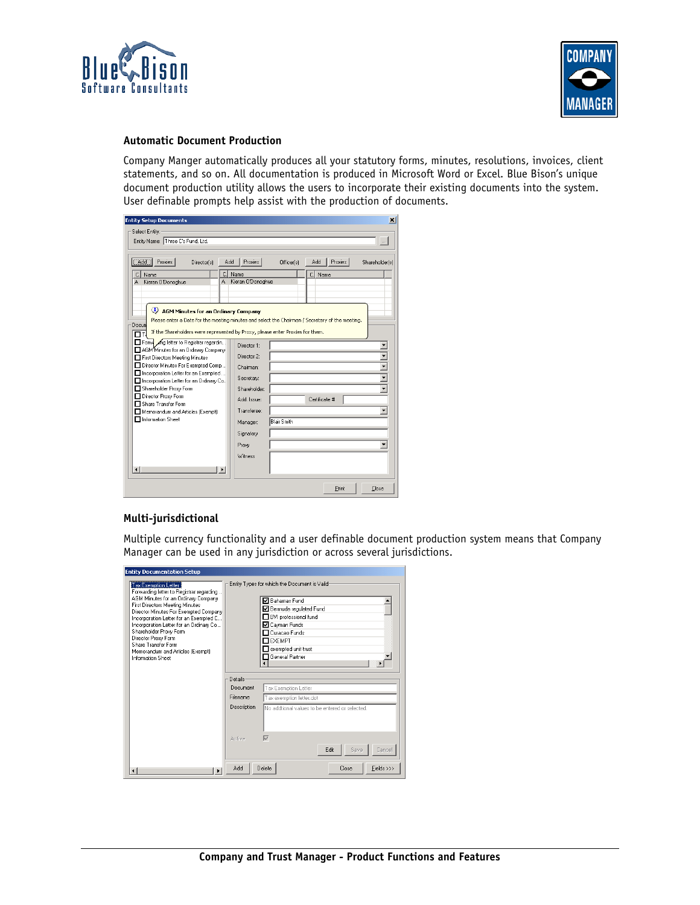



## **Automatic Document Production**

Company Manger automatically produces all your statutory forms, minutes, resolutions, invoices, client statements, and so on. All documentation is produced in Microsoft Word or Excel. Blue Bison's unique document production utility allows the users to incorporate their existing documents into the system. User definable prompts help assist with the production of documents.

| <b>Entity Setup Documents</b>                                                                                                                                                                                                                                                                                     |                                                                                      |                    |                                | ×              |
|-------------------------------------------------------------------------------------------------------------------------------------------------------------------------------------------------------------------------------------------------------------------------------------------------------------------|--------------------------------------------------------------------------------------|--------------------|--------------------------------|----------------|
| Select Entity:<br>Entity Name: Three C's Fund, Ltd.                                                                                                                                                                                                                                                               |                                                                                      |                    |                                | $\rightarrow$  |
| Add<br>Proxies<br>Add<br>Director(s)<br>C.<br>Name<br>Kieran O'Donoghue<br>A<br>A                                                                                                                                                                                                                                 | Proxies<br>Name<br>Kieran O'Donoghue                                                 | Officer(s)         | Add<br>Proxies  <br>c.<br>Name | Shareholder[s] |
| AGM Minutes for an Ordinary Company<br>Please enter a Date for the meeting minutes and select the Chairman / Secretary of the meeting.<br>Docun<br>If the Shareholders were represented by Proxy, please enter Proxies for them.                                                                                  |                                                                                      |                    |                                |                |
| Form mg letter to Registrar regardin<br>AGM Minutes for an Ordinary Company<br>First Directors Meeting Minutes<br>Director Minutes For Exempted Comp<br>Incorporation Letter for an Exempted<br>Incorporation Letter for an Ordinary Co.,<br>Shareholder Proxy Form<br>Director Proxy Form<br>Share Transfer Form | Director 1:<br>Director 2:<br>Chairman:<br>Secretary:<br>Shareholder:<br>Add. Issue: |                    | Certificate #                  |                |
| Memorandum and Articles (Exempt)<br>Information Sheet<br>$\vert \cdot \vert$<br>$\blacksquare$                                                                                                                                                                                                                    | Transferee:<br>Manager:<br>Signatory<br>Proxy<br>Witness                             | <b>Blair Smith</b> |                                |                |
|                                                                                                                                                                                                                                                                                                                   |                                                                                      |                    | Print                          | Close          |

#### **Multi-jurisdictional**

Multiple currency functionality and a user definable document production system means that Company Manager can be used in any jurisdiction or across several jurisdictions.

| Tax Exemption Letter<br>Forwarding letter to Registrar regarding<br>AGM Minutes for an Ordinary Company<br>First Directors Meeting Minutes<br>Director Minutes For Exempted Company<br>Incorporation Letter for an Exempted C<br>Incorporation Letter for an Ordinary Co<br>Shareholder Proxy Form<br>Director Proxy Form<br>Share Transfer Form<br>Memorandum and Articles (Exempt)<br>Information Sheet | Entity Types for which the Document is Valid<br><b>▽</b> Bahamas Fund<br>■ Bermuda regulated Fund<br>BVI professional fund<br>⊠ Cavman Funds<br>□ Curacao Funds<br>$\mathsf{\Pi}$ exempt<br>exempted unit trust<br><b>General Partner</b> |
|-----------------------------------------------------------------------------------------------------------------------------------------------------------------------------------------------------------------------------------------------------------------------------------------------------------------------------------------------------------------------------------------------------------|-------------------------------------------------------------------------------------------------------------------------------------------------------------------------------------------------------------------------------------------|
|                                                                                                                                                                                                                                                                                                                                                                                                           | Details<br>Document<br>Tax Exemption Letter<br><b>Filename</b><br>Tax exemption letter.dot<br>Description<br>No addtional values to be entered or selected.                                                                               |
|                                                                                                                                                                                                                                                                                                                                                                                                           | ⊽<br>Active<br>Edit<br>Save<br>Cancel<br>Add<br>Delete<br>Fields >>><br>Close                                                                                                                                                             |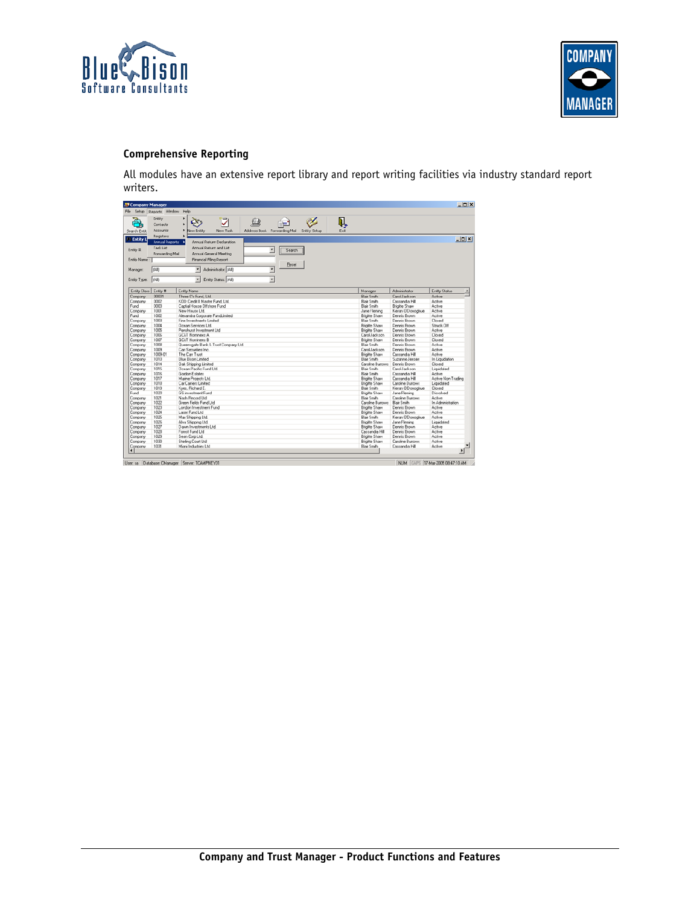



# **Comprehensive Reporting**

All modules have an extensive report library and report writing facilities via industry standard report writers.

| File<br>Setup   | Reports Window        | Help                                                                               |                       |                      |                         |
|-----------------|-----------------------|------------------------------------------------------------------------------------|-----------------------|----------------------|-------------------------|
|                 |                       |                                                                                    |                       |                      |                         |
|                 | Entity                | ۲<br>⊽<br>Ō.                                                                       | Q,                    |                      |                         |
|                 | Contacts              | ٠                                                                                  |                       |                      |                         |
| Search Entit    | Accounts              | ٠<br>New Entity<br>New Task<br>Address Book Forwarding Mail<br><b>Entity Setup</b> | Exk                   |                      |                         |
| <b>Entity L</b> | Registers             |                                                                                    |                       |                      | $   $ $  $ $\times$ $ $ |
|                 | <b>Annual Reports</b> | Annual Return Declaration<br>٠                                                     |                       |                      |                         |
|                 | Task List             | Annual Return and List                                                             |                       |                      |                         |
| Entity #:       | Forwarding Mail       | ×<br>Search<br>Annual General Meeting                                              |                       |                      |                         |
| Entity Name:    |                       | Financial Filing Report                                                            |                       |                      |                         |
|                 |                       | Reset                                                                              |                       |                      |                         |
| Manager         | [AII]                 | $\overline{ }$<br>Administrator: [AII]<br>۳                                        |                       |                      |                         |
|                 |                       |                                                                                    |                       |                      |                         |
| Entity Type:    | lican                 | $\overline{\phantom{0}}$<br>Entity Status: (All)<br>$\vert \mathbf{v} \vert$       |                       |                      |                         |
| Entity Class    | Enily #               | Entity Name                                                                        | Manager               | Administrator        | Entity Status           |
| Company         | 00001                 | Three C's Fund, Ltd.                                                               | <b>Blair Smith</b>    | Carol Jackson        | Active                  |
| Company         | 0002                  | KOD Credit II Master Fund, Ltd.                                                    | <b>Blair Smith</b>    | Cassandra Hill       | Active                  |
| Fund            | 0003                  | Captial House Offshore Fund                                                        | <b>Blair Smith</b>    | <b>Brigitte Shaw</b> | Active                  |
| Company         | 1001                  | New House Ltd.                                                                     | Jane Fleming          | Kieran O'Donoghue    | Active                  |
| Fund            | 1002                  | Alexandra Corporate FundLimited                                                    | <b>Brigitte Shaw</b>  | Dennis Brown         | Active                  |
| Company         | 1003                  | Finn Investments Limbed                                                            | <b>Blair Smith</b>    | Dennis Rsown         | Closed                  |
| Company         | 1004                  | <b>Ocean Services Ltd.</b>                                                         | <b>Brigitte Shaw</b>  | Dennis Brown         | Struck Off              |
| Company         | 1005                  | Penshurst Investment Ltd.                                                          | <b>Brigitte Shaw</b>  | Dennis Brown         | Active                  |
| Company         | 1006                  | <b>GC&amp;T Nominees A</b>                                                         | Carol Jackson         | Dennis Brown         | Closed                  |
| Company         | 1007                  | GCLT Nominees B                                                                    | <b>Brigitte Shaw</b>  | Dennis Brown         | Closed                  |
| Company         | 1008                  | Queensgate Bank & Tsust Company Ltd.                                               | <b>Blair Smith</b>    | Dennis Rsown         | Active                  |
| Company         | 1009                  | Car Securities Inc.                                                                | Carol Jackson         | Dennis Brown         | Active                  |
| Company         | 1009-01               | The Car Trust                                                                      | <b>Brigitte Shaw</b>  | Cassandra Hill       | Active                  |
| Company         | 1010                  | Blue Bison Limited                                                                 | <b>Blair Smith</b>    | Suzanne Jensen       | In Liquidation          |
| Company         | 1014                  | <b>Oak Shipping Limited</b>                                                        | Caroline Burrows      | Dennis Brown         | Closed                  |
| Company         | 1015                  | <b>Down Pacific Fund Ltd.</b>                                                      | <b>Blair Smith</b>    | Carol Jackson        | Liquidated              |
| Company         | 1016                  | Gordon Estates                                                                     | <b>Blair Smith</b>    | Cassandra Hill       | Active                  |
| Company         | 1017                  | Marine Projects Ltd.                                                               | <b>Brigitte Shaw</b>  | Cassandra Hill       | Active Non-Trading      |
| Company         | 1018                  | Car Carriers Limited                                                               | <b>Brighte Shaw</b>   | Caroline Burrows     | Liquidated              |
| Company         | 1019                  | Kyes, Richard E.                                                                   | <b>Blair Smith</b>    | Kieran O'Donoghue    | Closed                  |
| Fund            | 1020                  | <b>GS</b> investment Fund                                                          | <b>Brigitte Shaw</b>  | Jane Fleming         | Desolved                |
| Company         | 1021                  | Nash Record Ltd.                                                                   | <b>Blair Smith</b>    | Caroline Burrows     | Active                  |
| Company         | 1022                  | Green Fields Fund Ltd                                                              | Caroline Burrows      | <b>Blair Smith</b>   | In Administration       |
| Company         | 1023                  | London Investment Fund                                                             | <b>Brigitte Shaw</b>  | Dennis Brown         | Active                  |
| Company         | 1024                  | Laser Fund Ltd                                                                     | <b>Brigitte Sharr</b> | Dennis Brown         | Active                  |
| Company         | 1025                  | Max Shipping Ltd.                                                                  | <b>Blair Smith</b>    | Kieran O'Donoghue    | Active                  |
| Company         | 1026                  | Alva Shipping Ltd.                                                                 | <b>Brigitte Shaw</b>  | Jane Fleming         | Liquidated              |
| Company         | 1027                  | Dawn Investments Ltd.                                                              | <b>Brigitte Shaw</b>  | Dennis Brown         | Active                  |
| Company         | 1028                  | Forest Fund Ltd                                                                    | Cassandra Hill        | Dennis Brown         | Active                  |
| Company         | 1029                  | Sean Corp Ltd.                                                                     | Brighte Shaw          | Dennis Brown         | Active                  |
| Company         | 1030                  | Sterling Court Ltd.                                                                | <b>Brigitte Sharr</b> | Caroline Burrows     | Active                  |
|                 | 1031                  | Miani Industries Ltd.                                                              | <b>Blair Smith</b>    | Cassandra Hill       | Active                  |
| Company         |                       |                                                                                    |                       |                      | $\mathbf{H}$            |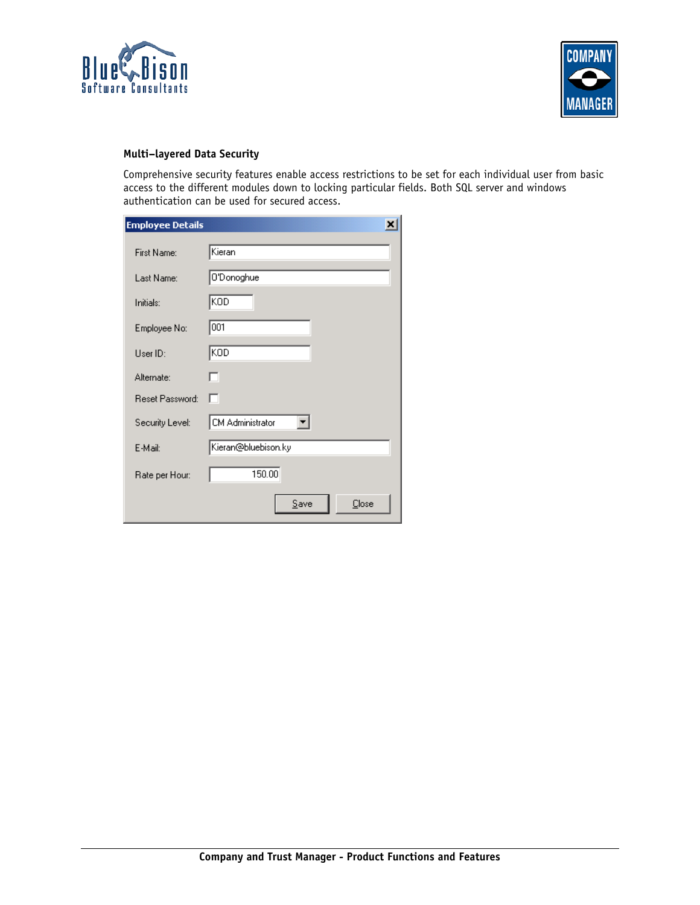



## **Multi–layered Data Security**

Comprehensive security features enable access restrictions to be set for each individual user from basic access to the different modules down to locking particular fields. Both SQL server and windows authentication can be used for secured access.

| <b>Employee Details</b> |                     |
|-------------------------|---------------------|
| First Name:             | Kieran              |
| Last Name:              | O'Donoghue          |
| Initials:               | KOD                 |
| Employee No:            | 001                 |
| User ID:                | KOD                 |
| Alternate:              | п                   |
| Reset Password:         | ш                   |
| Security Level:         | CM Administrator    |
| E-Mail:                 | Kieran@bluebison.ky |
| Rate per Hour:          | 150.00              |
|                         | Save<br>Close       |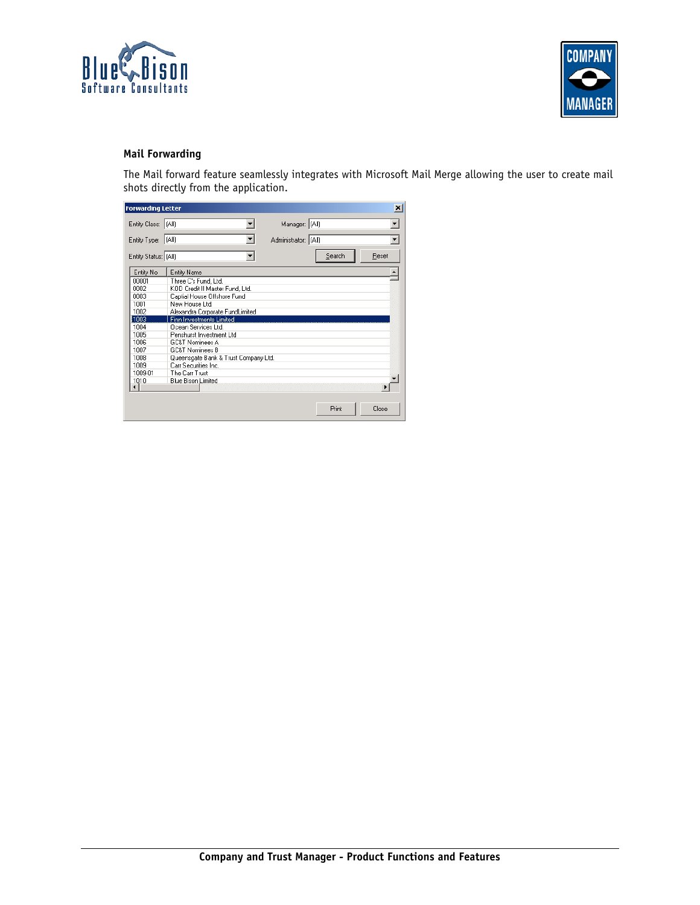



# **Mail Forwarding**

The Mail forward feature seamlessly integrates with Microsoft Mail Merge allowing the user to create mail shots directly from the application.

|                                                                                                                                                                                                                                                                                                                                                                                     |                                      |                                        | $\vert x \vert$ |
|-------------------------------------------------------------------------------------------------------------------------------------------------------------------------------------------------------------------------------------------------------------------------------------------------------------------------------------------------------------------------------------|--------------------------------------|----------------------------------------|-----------------|
|                                                                                                                                                                                                                                                                                                                                                                                     |                                      |                                        |                 |
|                                                                                                                                                                                                                                                                                                                                                                                     |                                      |                                        |                 |
|                                                                                                                                                                                                                                                                                                                                                                                     |                                      |                                        | Reset           |
|                                                                                                                                                                                                                                                                                                                                                                                     |                                      |                                        |                 |
|                                                                                                                                                                                                                                                                                                                                                                                     |                                      |                                        |                 |
|                                                                                                                                                                                                                                                                                                                                                                                     |                                      |                                        |                 |
|                                                                                                                                                                                                                                                                                                                                                                                     |                                      |                                        |                 |
|                                                                                                                                                                                                                                                                                                                                                                                     |                                      |                                        |                 |
|                                                                                                                                                                                                                                                                                                                                                                                     |                                      |                                        |                 |
|                                                                                                                                                                                                                                                                                                                                                                                     |                                      |                                        |                 |
|                                                                                                                                                                                                                                                                                                                                                                                     |                                      |                                        |                 |
|                                                                                                                                                                                                                                                                                                                                                                                     |                                      |                                        |                 |
|                                                                                                                                                                                                                                                                                                                                                                                     |                                      |                                        |                 |
|                                                                                                                                                                                                                                                                                                                                                                                     |                                      |                                        |                 |
|                                                                                                                                                                                                                                                                                                                                                                                     |                                      |                                        |                 |
|                                                                                                                                                                                                                                                                                                                                                                                     |                                      |                                        |                 |
|                                                                                                                                                                                                                                                                                                                                                                                     |                                      |                                        |                 |
|                                                                                                                                                                                                                                                                                                                                                                                     |                                      |                                        |                 |
|                                                                                                                                                                                                                                                                                                                                                                                     |                                      |                                        |                 |
|                                                                                                                                                                                                                                                                                                                                                                                     |                                      |                                        |                 |
|                                                                                                                                                                                                                                                                                                                                                                                     |                                      |                                        | Close           |
|                                                                                                                                                                                                                                                                                                                                                                                     |                                      |                                        |                 |
| <b>Entity Name</b><br>Three C's Fund, Ltd.<br>KOD Credit II Master Fund, Ltd.<br>Captial House Offshore Fund<br>New House Ltd.<br>Alexandra Corporate FundLimited<br>Finn Investments Limited<br>Ocean Services Ltd.<br>Penshurst Investment Ltd<br><b>GC&amp;T Nominees A</b><br><b>GC&amp;T Nominees B</b><br>Carr Securities Inc.<br>The Carr Trust<br><b>Blue Bison Limited</b> | Queensgate Bank & Trust Company Ltd. | Manager: (All)<br>Administrator: (All) | Search<br>Print |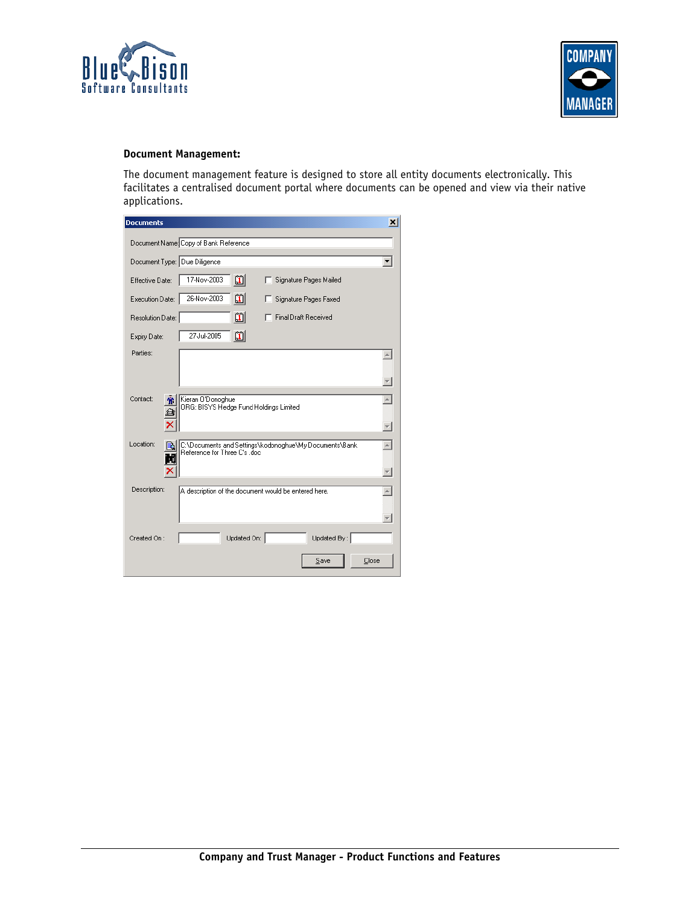



## **Document Management:**

The document management feature is designed to store all entity documents electronically. This facilitates a centralised document portal where documents can be opened and view via their native applications.

| <b>Documents</b>                                                                                    | $\vert x \vert$ |
|-----------------------------------------------------------------------------------------------------|-----------------|
| Document Name: Copy of Bank Reference                                                               |                 |
| Document Type: Due Diligence                                                                        |                 |
| បា<br>17-Nov-2003<br>Signature Pages Mailed<br>Effective Date:                                      |                 |
| 26-Nov-2003<br>m<br>Execution Date:<br>Signature Pages Faxed                                        |                 |
| 凹<br><b>Final Draft Received</b><br>Resolution Date:                                                |                 |
| 凹<br>27-Jul-2005<br>Expiry Date:                                                                    |                 |
| Parties:                                                                                            |                 |
|                                                                                                     |                 |
| Contact:<br>Kieran O'Donoghue<br>Ж<br>ORG: BISYS Hedge Fund Holdings Limited                        |                 |
| Location:<br>C:\Documents and Settings\kodonoghue\My Documents\Bank<br>Reference for Three C's .doc |                 |
| Description:<br>A description of the document would be entered here.                                |                 |
| Updated On:<br>Updated By:<br>Created On:                                                           |                 |
| Save<br>Close                                                                                       |                 |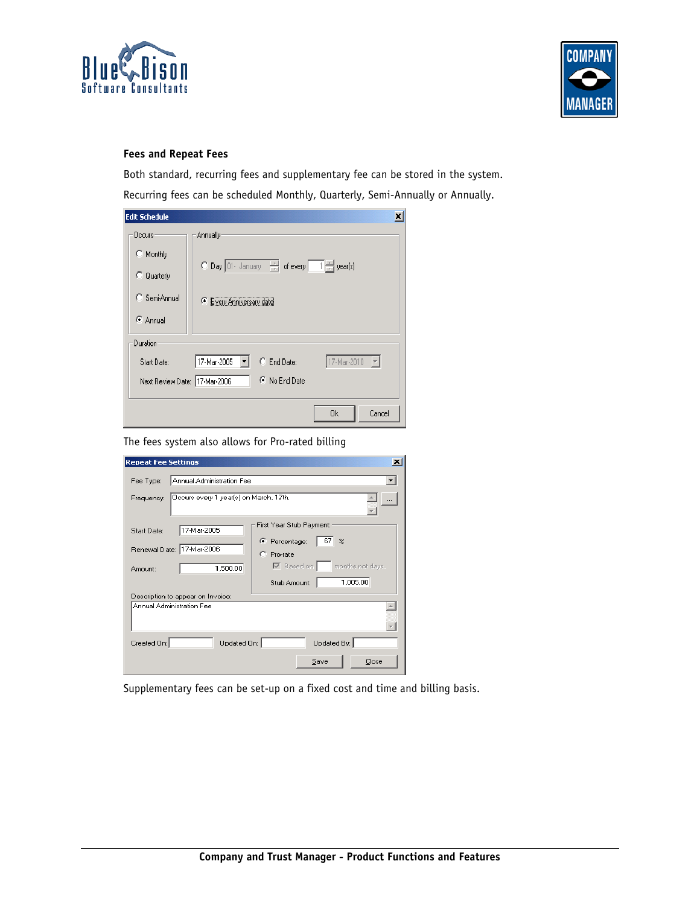



# **Fees and Repeat Fees**

Both standard, recurring fees and supplementary fee can be stored in the system. Recurring fees can be scheduled Monthly, Quarterly, Semi-Annually or Annually.

| <b>Edit Schedule</b>          |                                         |               |                                     |  |
|-------------------------------|-----------------------------------------|---------------|-------------------------------------|--|
| Occurs-                       | Annually                                |               |                                     |  |
| $\Box$ Monthly                |                                         |               |                                     |  |
| o<br>Quarterly                | O Day 01 January - of every 1 - year(s) |               |                                     |  |
| C Semi-Annual                 | Every Anniversary date                  |               |                                     |  |
| C Annual                      |                                         |               |                                     |  |
| Duration                      |                                         |               |                                     |  |
| Start Date:                   | 17-Mar-2005                             | C End Date:   | 17-Mar-2010<br>$\vert \nabla \vert$ |  |
| Next Review Date: 17-Mar-2006 |                                         | C No End Date |                                     |  |
|                               |                                         |               |                                     |  |
|                               |                                         |               | Cancel<br>0k                        |  |

The fees system also allows for Pro-rated billing

| <b>Repeat Fee Settings</b><br>$\mathbf{x}$                                                                                                                                                                                                    |
|-----------------------------------------------------------------------------------------------------------------------------------------------------------------------------------------------------------------------------------------------|
| Annual Administration Fee<br>Fee Type:<br>Occurs every 1 year(s) on March, 17th.<br>Frequency:                                                                                                                                                |
| First Year Stub Payment:<br>17-Mar-2005<br>Start Date:<br>67<br>C Percentage:<br>$\boldsymbol{\mathcal{Z}}$<br>Renewal Date: 17-Mar-2006<br>C. Pro-rate<br>$\boxed{\smile}$ Based on $\boxed{\smile}$ months not days.<br>1,500.00<br>Amount: |
| 1,005.00<br>Stub Amount:<br>Description to appear on Invoice:<br>Annual Administration Fee                                                                                                                                                    |
| Updated On:<br>Updated By:<br>Created On:<br>Save<br>Close                                                                                                                                                                                    |

Supplementary fees can be set-up on a fixed cost and time and billing basis.